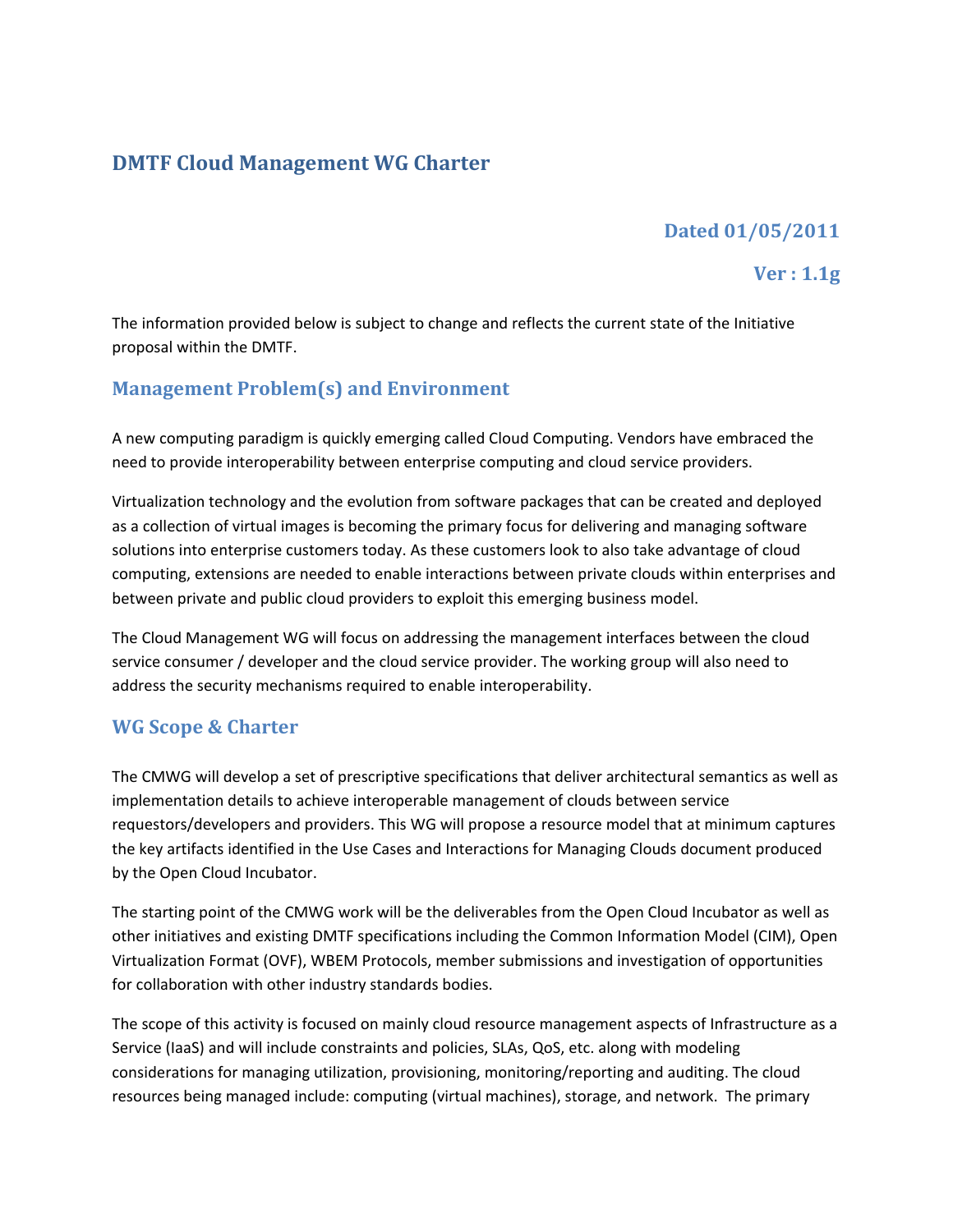## **DMTF Cloud Management WG Charter**

# **Dated%01/05/2011**

## **Ver**: 1.1g

The information provided below is subject to change and reflects the current state of the Initiative proposal within the DMTF.

## **Management Problem(s) and Environment**

A new computing paradigm is quickly emerging called Cloud Computing. Vendors have embraced the need to provide interoperability between enterprise computing and cloud service providers.

Virtualization technology and the evolution from software packages that can be created and deployed as a collection of virtual images is becoming the primary focus for delivering and managing software solutions into enterprise customers today. As these customers look to also take advantage of cloud computing, extensions are needed to enable interactions between private clouds within enterprises and between private and public cloud providers to exploit this emerging business model.

The Cloud Management WG will focus on addressing the management interfaces between the cloud service consumer / developer and the cloud service provider. The working group will also need to address the security mechanisms required to enable interoperability.

## **WG Scope & Charter**

The CMWG will develop a set of prescriptive specifications that deliver architectural semantics as well as implementation details to achieve interoperable management of clouds between service requestors/developers and providers. This WG will propose a resource model that at minimum captures the key artifacts identified in the Use Cases and Interactions for Managing Clouds document produced by the Open Cloud Incubator.

The starting point of the CMWG work will be the deliverables from the Open Cloud Incubator as well as other initiatives and existing DMTF specifications including the Common Information Model (CIM), Open Virtualization Format (OVF), WBEM Protocols, member submissions and investigation of opportunities for collaboration with other industry standards bodies.

The scope of this activity is focused on mainly cloud resource management aspects of Infrastructure as a Service (IaaS) and will include constraints and policies, SLAs, QoS, etc. along with modeling considerations for managing utilization, provisioning, monitoring/reporting and auditing. The cloud resources being managed include: computing (virtual machines), storage, and network. The primary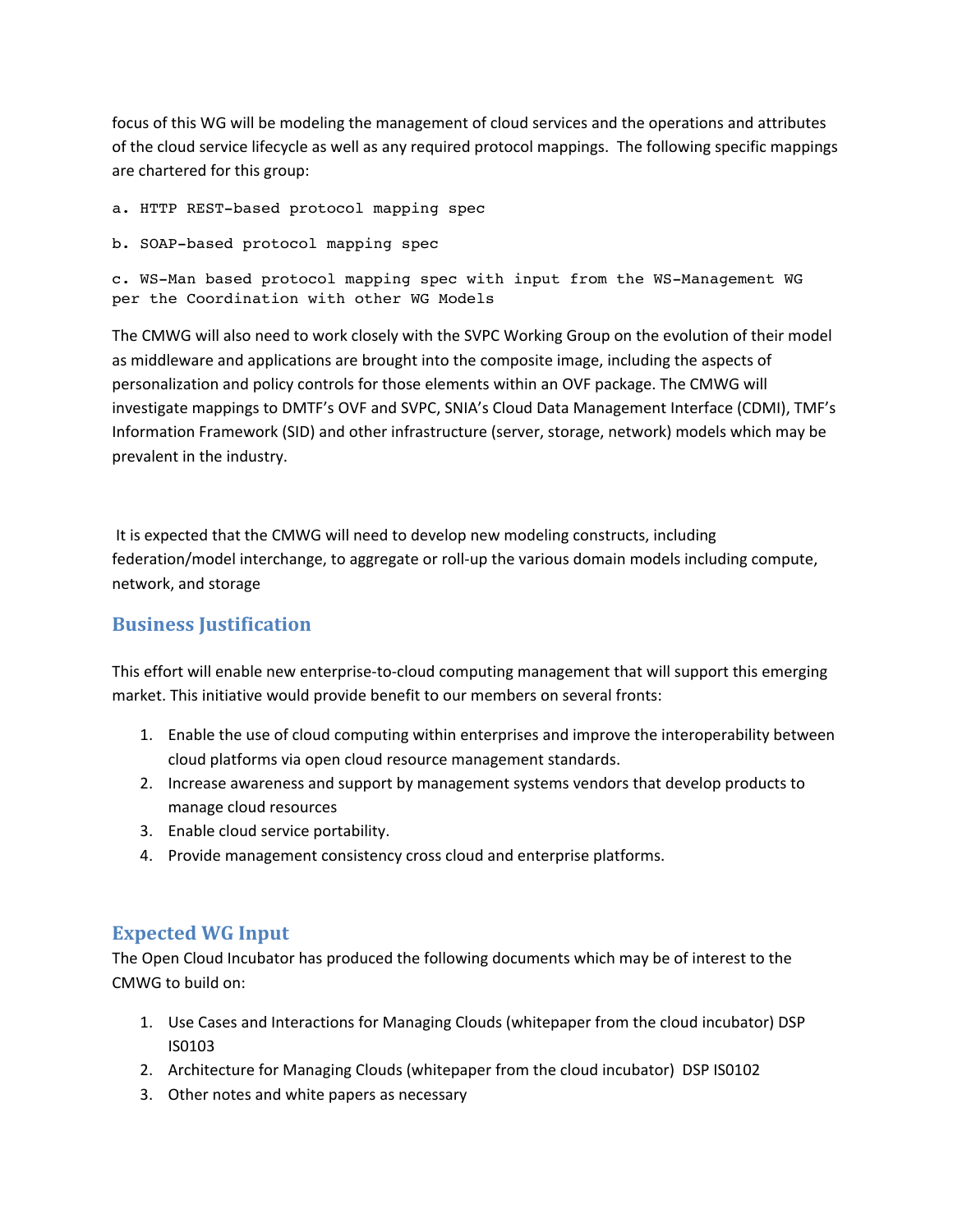focus of this WG will be modeling the management of cloud services and the operations and attributes of the cloud service lifecycle as well as any required protocol mappings. The following specific mappings are chartered for this group:

- a. HTTP REST-based protocol mapping spec
- b. SOAP-based protocol mapping spec

c. WS-Man based protocol mapping spec with input from the WS-Management WG per the Coordination with other WG Models

The CMWG will also need to work closely with the SVPC Working Group on the evolution of their model as middleware and applications are brought into the composite image, including the aspects of personalization and policy controls for those elements within an OVF package. The CMWG will investigate mappings to DMTF's OVF and SVPC, SNIA's Cloud Data Management Interface (CDMI), TMF's Information Framework (SID) and other infrastructure (server, storage, network) models which may be prevalent in the industry.

It is expected that the CMWG will need to develop new modeling constructs, including federation/model interchange, to aggregate or roll-up the various domain models including compute, network, and storage

### **Business Justification**

This effort will enable new enterprise-to-cloud computing management that will support this emerging market. This initiative would provide benefit to our members on several fronts:

- 1. Enable the use of cloud computing within enterprises and improve the interoperability between cloud platforms via open cloud resource management standards.
- 2. Increase awareness and support by management systems vendors that develop products to manage cloud resources
- 3. Enable cloud service portability.
- 4. Provide management consistency cross cloud and enterprise platforms.

### **Expected WG Input**

The Open Cloud Incubator has produced the following documents which may be of interest to the CMWG to build on:

- 1. Use Cases and Interactions for Managing Clouds (whitepaper from the cloud incubator) DSP IS0103
- 2. Architecture for Managing Clouds (whitepaper from the cloud incubator) DSP IS0102
- 3. Other notes and white papers as necessary